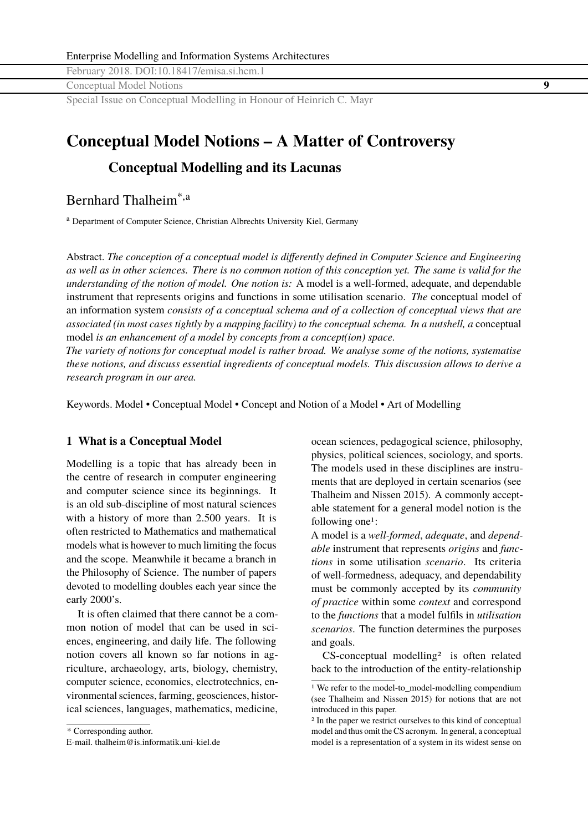<span id="page-0-0"></span>Conceptual Model Notions **9**

Special Issue on Conceptual Modelling in Honour of Heinrich C. Mayr

# **Conceptual Model Notions – A Matter of Controversy**

## **Conceptual Modelling and its Lacunas**

Bernhard Thalheim\*,a

<sup>a</sup> Department of Computer Science, Christian Albrechts University Kiel, Germany

Abstract. *The conception of a conceptual model is differently defined in Computer Science and Engineering as well as in other sciences. There is no common notion of this conception yet. The same is valid for the understanding of the notion of model. One notion is:* A model is a well-formed, adequate, and dependable instrument that represents origins and functions in some utilisation scenario. *The* conceptual model of an information system *consists of a conceptual schema and of a collection of conceptual views that are associated (in most cases tightly by a mapping facility) to the conceptual schema. In a nutshell, a* conceptual model *is an enhancement of a model by concepts from a concept(ion) space.*

*The variety of notions for conceptual model is rather broad. We analyse some of the notions, systematise these notions, and discuss essential ingredients of conceptual models. This discussion allows to derive a research program in our area.*

Keywords. Model • Conceptual Model • Concept and Notion of a Model • Art of Modelling

### **1 What is a Conceptual Model**

Modelling is a topic that has already been in the centre of research in computer engineering and computer science since its beginnings. It is an old sub-discipline of most natural sciences with a history of more than 2.500 years. It is often restricted to Mathematics and mathematical models what is however to much limiting the focus and the scope. Meanwhile it became a branch in the Philosophy of Science. The number of papers devoted to modelling doubles each year since the early 2000's.

It is often claimed that there cannot be a common notion of model that can be used in sciences, engineering, and daily life. The following notion covers all known so far notions in agriculture, archaeology, arts, biology, chemistry, computer science, economics, electrotechnics, environmental sciences, farming, geosciences, historical sciences, languages, mathematics, medicine, ocean sciences, pedagogical science, philosophy, physics, political sciences, sociology, and sports. The models used in these disciplines are instruments that are deployed in certain scenarios (see Thalheim and Nissen [2015\)](#page-18-0). A commonly acceptable statement for a general model notion is the following one<sup>1</sup>:

A model is a *well-formed*, *adequate*, and *dependable* instrument that represents *origins* and *functions* in some utilisation *scenario*. Its criteria of well-formedness, adequacy, and dependability must be commonly accepted by its *community of practice* within some *context* and correspond to the *functions* that a model fulfils in *utilisation scenarios*. The function determines the purposes and goals.

CS-conceptual modelling2 is often related back to the introduction of the entity-relationship

<sup>\*</sup> Corresponding author.

E-mail. <thalheim@is.informatik.uni-kiel.de>

<sup>1</sup> We refer to the model-to\_model-modelling compendium (see Thalheim and Nissen [2015\)](#page-18-0) for notions that are not introduced in this paper.

<sup>2</sup> In the paper we restrict ourselves to this kind of conceptual model and thus omit the CS acronym. In general, a conceptual model is a representation of a system in its widest sense on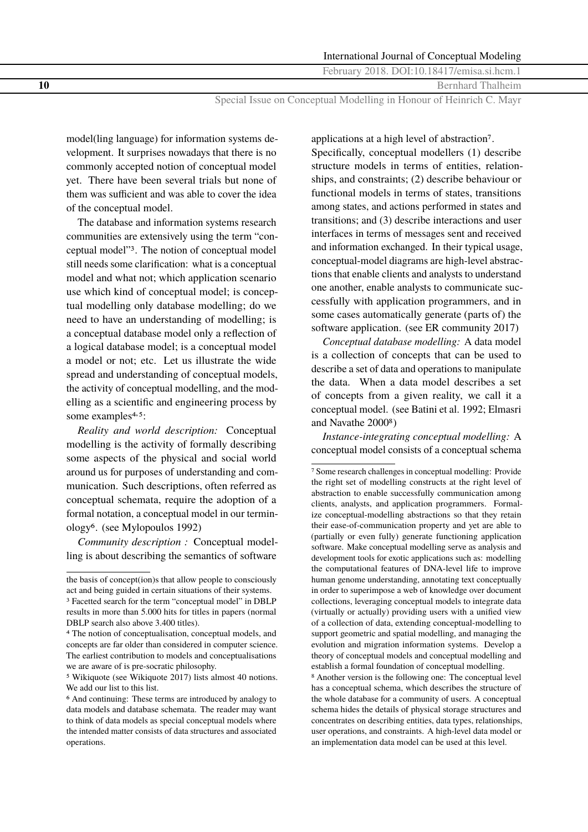**10** Bernhard Thalheim

Special Issue on Conceptual Modelling in Honour of Heinrich C. Mayr

model(ling language) for information systems development. It surprises nowadays that there is no commonly accepted notion of conceptual model yet. There have been several trials but none of them was sufficient and was able to cover the idea of the conceptual model.

The database and information systems research communities are extensively using the term "conceptual model"3. The notion of conceptual model still needs some clarification: what is a conceptual model and what not; which application scenario use which kind of conceptual model; is conceptual modelling only database modelling; do we need to have an understanding of modelling; is a conceptual database model only a reflection of a logical database model; is a conceptual model a model or not; etc. Let us illustrate the wide spread and understanding of conceptual models, the activity of conceptual modelling, and the modelling as a scientific and engineering process by some examples<sup>4,5</sup>:

*Reality and world description:* Conceptual modelling is the activity of formally describing some aspects of the physical and social world around us for purposes of understanding and communication. Such descriptions, often referred as conceptual schemata, require the adoption of a formal notation, a conceptual model in our terminology6. (see Mylopoulos [1992\)](#page-17-0)

*Community description :* Conceptual modelling is about describing the semantics of software applications at a high level of abstraction7.

Specifically, conceptual modellers (1) describe structure models in terms of entities, relationships, and constraints; (2) describe behaviour or functional models in terms of states, transitions among states, and actions performed in states and transitions; and (3) describe interactions and user interfaces in terms of messages sent and received and information exchanged. In their typical usage, conceptual-model diagrams are high-level abstractions that enable clients and analysts to understand one another, enable analysts to communicate successfully with application programmers, and in some cases automatically generate (parts of) the software application. (see ER community [2017\)](#page-16-0)

*Conceptual database modelling:* A data model is a collection of concepts that can be used to describe a set of data and operations to manipulate the data. When a data model describes a set of concepts from a given reality, we call it a conceptual model. (see Batini et al. [1992;](#page-16-0) Elmasri and Navathe [2000](#page-16-0)8)

*Instance-integrating conceptual modelling:* A conceptual model consists of a conceptual schema

8 Another version is the following one: The conceptual level has a conceptual schema, which describes the structure of the whole database for a community of users. A conceptual schema hides the details of physical storage structures and concentrates on describing entities, data types, relationships, user operations, and constraints. A high-level data model or an implementation data model can be used at this level.

the basis of concept(ion)s that allow people to consciously act and being guided in certain situations of their systems.

<sup>3</sup> Facetted search for the term "conceptual model" in DBLP results in more than 5.000 hits for titles in papers (normal DBLP search also above 3.400 titles).

<sup>4</sup> The notion of conceptualisation, conceptual models, and concepts are far older than considered in computer science. The earliest contribution to models and conceptualisations we are aware of is pre-socratic philosophy.

<sup>5</sup> Wikiquote (see Wikiquote [2017\)](#page-18-0) lists almost 40 notions. We add our list to this list.

<sup>6</sup> And continuing: These terms are introduced by analogy to data models and database schemata. The reader may want to think of data models as special conceptual models where the intended matter consists of data structures and associated operations.

<sup>7</sup> Some research challenges in conceptual modelling: Provide the right set of modelling constructs at the right level of abstraction to enable successfully communication among clients, analysts, and application programmers. Formalize conceptual-modelling abstractions so that they retain their ease-of-communication property and yet are able to (partially or even fully) generate functioning application software. Make conceptual modelling serve as analysis and development tools for exotic applications such as: modelling the computational features of DNA-level life to improve human genome understanding, annotating text conceptually in order to superimpose a web of knowledge over document collections, leveraging conceptual models to integrate data (virtually or actually) providing users with a unified view of a collection of data, extending conceptual-modelling to support geometric and spatial modelling, and managing the evolution and migration information systems. Develop a theory of conceptual models and conceptual modelling and establish a formal foundation of conceptual modelling.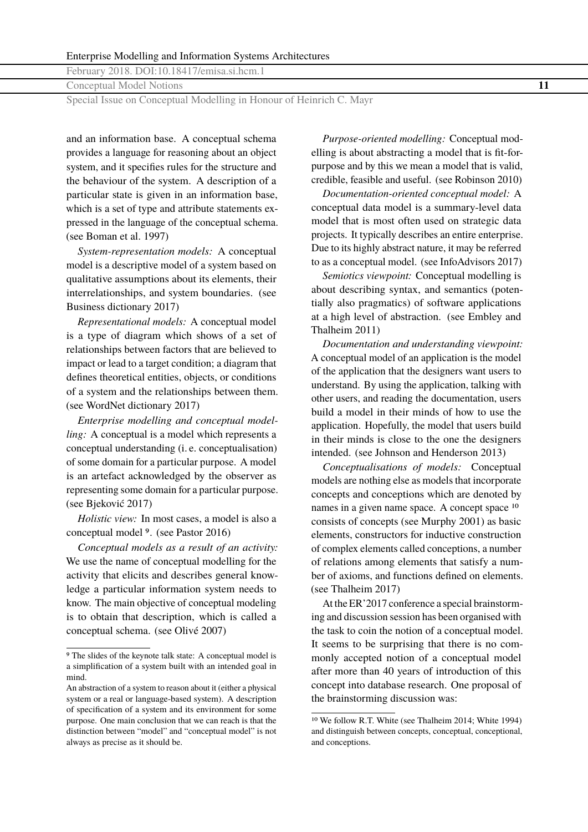Conceptual Model Notions **11**

Special Issue on Conceptual Modelling in Honour of Heinrich C. Mayr

and an information base. A conceptual schema provides a language for reasoning about an object system, and it specifies rules for the structure and the behaviour of the system. A description of a particular state is given in an information base, which is a set of type and attribute statements expressed in the language of the conceptual schema. (see Boman et al. [1997\)](#page-16-0)

*System-representation models:* A conceptual model is a descriptive model of a system based on qualitative assumptions about its elements, their interrelationships, and system boundaries. (see Business dictionary [2017\)](#page-16-0)

*Representational models:* A conceptual model is a type of diagram which shows of a set of relationships between factors that are believed to impact or lead to a target condition; a diagram that defines theoretical entities, objects, or conditions of a system and the relationships between them. (see WordNet dictionary [2017\)](#page-18-0)

*Enterprise modelling and conceptual modelling:* A conceptual is a model which represents a conceptual understanding (i. e. conceptualisation) of some domain for a particular purpose. A model is an artefact acknowledged by the observer as representing some domain for a particular purpose. (see Bjeković [2017\)](#page-16-0)

*Holistic view:* In most cases, a model is also a conceptual model 9. (see Pastor [2016\)](#page-17-0)

*Conceptual models as a result of an activity:* We use the name of conceptual modelling for the activity that elicits and describes general knowledge a particular information system needs to know. The main objective of conceptual modeling is to obtain that description, which is called a conceptual schema. (see Olivé [2007\)](#page-17-0)

*Purpose-oriented modelling:* Conceptual modelling is about abstracting a model that is fit-forpurpose and by this we mean a model that is valid, credible, feasible and useful. (see Robinson [2010\)](#page-17-0)

*Documentation-oriented conceptual model:* A conceptual data model is a summary-level data model that is most often used on strategic data projects. It typically describes an entire enterprise. Due to its highly abstract nature, it may be referred to as a conceptual model. (see InfoAdvisors [2017\)](#page-17-0)

*Semiotics viewpoint:* Conceptual modelling is about describing syntax, and semantics (potentially also pragmatics) of software applications at a high level of abstraction. (see Embley and Thalheim [2011\)](#page-16-0)

*Documentation and understanding viewpoint:* A conceptual model of an application is the model of the application that the designers want users to understand. By using the application, talking with other users, and reading the documentation, users build a model in their minds of how to use the application. Hopefully, the model that users build in their minds is close to the one the designers intended. (see Johnson and Henderson [2013\)](#page-17-0)

*Conceptualisations of models:* Conceptual models are nothing else as models that incorporate concepts and conceptions which are denoted by names in a given name space. A concept space 10 consists of concepts (see Murphy [2001\)](#page-17-0) as basic elements, constructors for inductive construction of complex elements called conceptions, a number of relations among elements that satisfy a number of axioms, and functions defined on elements. (see Thalheim [2017\)](#page-17-0)

At the ER'2017 conference a special brainstorming and discussion session has been organised with the task to coin the notion of a conceptual model. It seems to be surprising that there is no commonly accepted notion of a conceptual model after more than 40 years of introduction of this concept into database research. One proposal of the brainstorming discussion was:

<sup>9</sup> The slides of the keynote talk state: A conceptual model is a simplification of a system built with an intended goal in mind.

An abstraction of a system to reason about it (either a physical system or a real or language-based system). A description of specification of a system and its environment for some purpose. One main conclusion that we can reach is that the distinction between "model" and "conceptual model" is not always as precise as it should be.

<sup>10</sup> We follow R.T. White (see Thalheim [2014;](#page-17-0) White [1994\)](#page-18-0) and distinguish between concepts, conceptual, conceptional, and conceptions.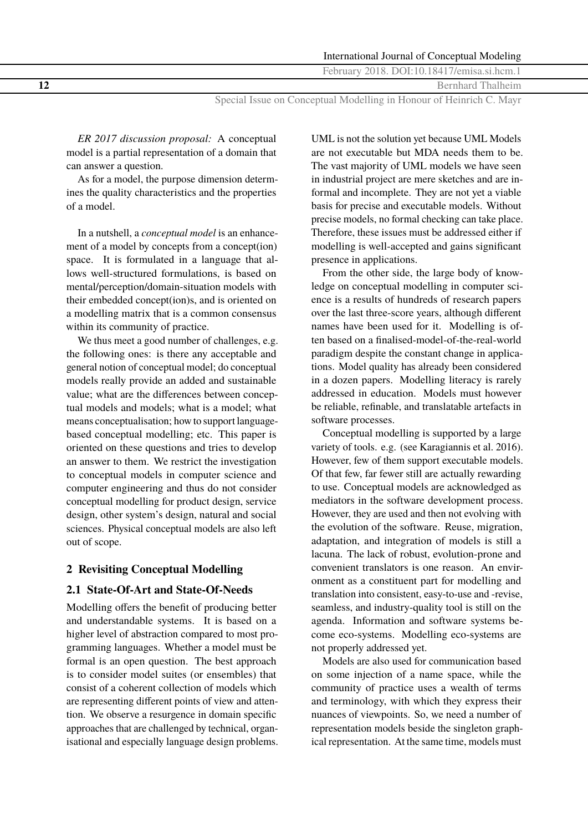**12** Bernhard Thalheim

Special Issue on Conceptual Modelling in Honour of Heinrich C. Mayr

*ER 2017 discussion proposal:* A conceptual model is a partial representation of a domain that can answer a question.

As for a model, the purpose dimension determines the quality characteristics and the properties of a model.

In a nutshell, a *conceptual model* is an enhancement of a model by concepts from a concept(ion) space. It is formulated in a language that allows well-structured formulations, is based on mental/perception/domain-situation models with their embedded concept(ion)s, and is oriented on a modelling matrix that is a common consensus within its community of practice.

We thus meet a good number of challenges, e.g. the following ones: is there any acceptable and general notion of conceptual model; do conceptual models really provide an added and sustainable value; what are the differences between conceptual models and models; what is a model; what means conceptualisation; how to support languagebased conceptual modelling; etc. This paper is oriented on these questions and tries to develop an answer to them. We restrict the investigation to conceptual models in computer science and computer engineering and thus do not consider conceptual modelling for product design, service design, other system's design, natural and social sciences. Physical conceptual models are also left out of scope.

## **2 Revisiting Conceptual Modelling**

### **2.1 State-Of-Art and State-Of-Needs**

Modelling offers the benefit of producing better and understandable systems. It is based on a higher level of abstraction compared to most programming languages. Whether a model must be formal is an open question. The best approach is to consider model suites (or ensembles) that consist of a coherent collection of models which are representing different points of view and attention. We observe a resurgence in domain specific approaches that are challenged by technical, organisational and especially language design problems.

UML is not the solution yet because UML Models are not executable but MDA needs them to be. The vast majority of UML models we have seen in industrial project are mere sketches and are informal and incomplete. They are not yet a viable basis for precise and executable models. Without precise models, no formal checking can take place. Therefore, these issues must be addressed either if modelling is well-accepted and gains significant presence in applications.

From the other side, the large body of knowledge on conceptual modelling in computer science is a results of hundreds of research papers over the last three-score years, although different names have been used for it. Modelling is often based on a finalised-model-of-the-real-world paradigm despite the constant change in applications. Model quality has already been considered in a dozen papers. Modelling literacy is rarely addressed in education. Models must however be reliable, refinable, and translatable artefacts in software processes.

Conceptual modelling is supported by a large variety of tools. e.g. (see Karagiannis et al. [2016\)](#page-17-0). However, few of them support executable models. Of that few, far fewer still are actually rewarding to use. Conceptual models are acknowledged as mediators in the software development process. However, they are used and then not evolving with the evolution of the software. Reuse, migration, adaptation, and integration of models is still a lacuna. The lack of robust, evolution-prone and convenient translators is one reason. An environment as a constituent part for modelling and translation into consistent, easy-to-use and -revise, seamless, and industry-quality tool is still on the agenda. Information and software systems become eco-systems. Modelling eco-systems are not properly addressed yet.

Models are also used for communication based on some injection of a name space, while the community of practice uses a wealth of terms and terminology, with which they express their nuances of viewpoints. So, we need a number of representation models beside the singleton graphical representation. At the same time, models must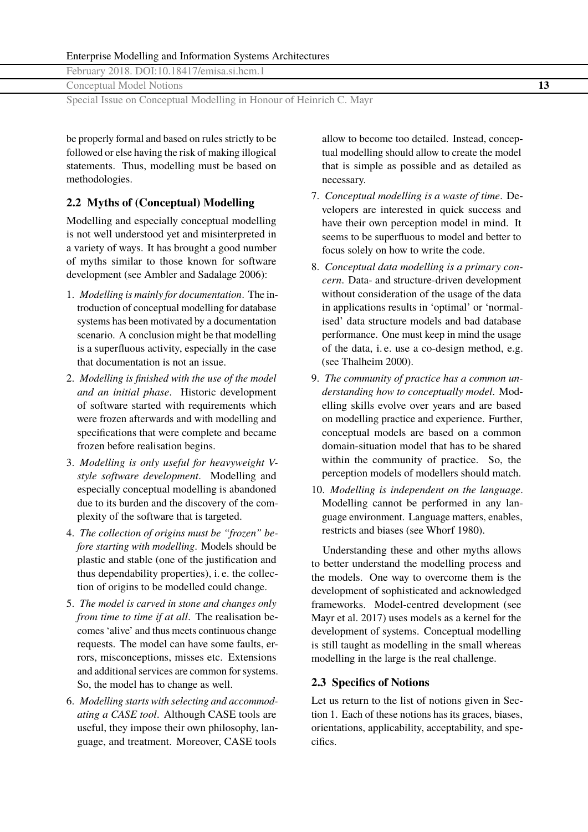Conceptual Model Notions **13**

Special Issue on Conceptual Modelling in Honour of Heinrich C. Mayr

be properly formal and based on rules strictly to be followed or else having the risk of making illogical statements. Thus, modelling must be based on methodologies.

### **2.2 Myths of (Conceptual) Modelling**

Modelling and especially conceptual modelling is not well understood yet and misinterpreted in a variety of ways. It has brought a good number of myths similar to those known for software development (see Ambler and Sadalage [2006\)](#page-16-0):

- 1. *Modelling is mainly for documentation*. The introduction of conceptual modelling for database systems has been motivated by a documentation scenario. A conclusion might be that modelling is a superfluous activity, especially in the case that documentation is not an issue.
- 2. *Modelling is finished with the use of the model and an initial phase*. Historic development of software started with requirements which were frozen afterwards and with modelling and specifications that were complete and became frozen before realisation begins.
- 3. *Modelling is only useful for heavyweight Vstyle software development*. Modelling and especially conceptual modelling is abandoned due to its burden and the discovery of the complexity of the software that is targeted.
- 4. *The collection of origins must be "frozen" before starting with modelling*. Models should be plastic and stable (one of the justification and thus dependability properties), i. e. the collection of origins to be modelled could change.
- 5. *The model is carved in stone and changes only from time to time if at all*. The realisation becomes 'alive' and thus meets continuous change requests. The model can have some faults, errors, misconceptions, misses etc. Extensions and additional services are common for systems. So, the model has to change as well.
- 6. *Modelling starts with selecting and accommodating a CASE tool*. Although CASE tools are useful, they impose their own philosophy, language, and treatment. Moreover, CASE tools

allow to become too detailed. Instead, conceptual modelling should allow to create the model that is simple as possible and as detailed as necessary.

- 7. *Conceptual modelling is a waste of time*. Developers are interested in quick success and have their own perception model in mind. It seems to be superfluous to model and better to focus solely on how to write the code.
- 8. *Conceptual data modelling is a primary concern*. Data- and structure-driven development without consideration of the usage of the data in applications results in 'optimal' or 'normalised' data structure models and bad database performance. One must keep in mind the usage of the data, i. e. use a co-design method, e.g. (see Thalheim [2000\)](#page-17-0).
- 9. *The community of practice has a common understanding how to conceptually model*. Modelling skills evolve over years and are based on modelling practice and experience. Further, conceptual models are based on a common domain-situation model that has to be shared within the community of practice. So, the perception models of modellers should match.
- 10. *Modelling is independent on the language*. Modelling cannot be performed in any language environment. Language matters, enables, restricts and biases (see Whorf [1980\)](#page-18-0).

Understanding these and other myths allows to better understand the modelling process and the models. One way to overcome them is the development of sophisticated and acknowledged frameworks. Model-centred development (see Mayr et al. [2017\)](#page-17-0) uses models as a kernel for the development of systems. Conceptual modelling is still taught as modelling in the small whereas modelling in the large is the real challenge.

## **2.3 Specifics of Notions**

Let us return to the list of notions given in Section [1.](#page-0-0) Each of these notions has its graces, biases, orientations, applicability, acceptability, and specifics.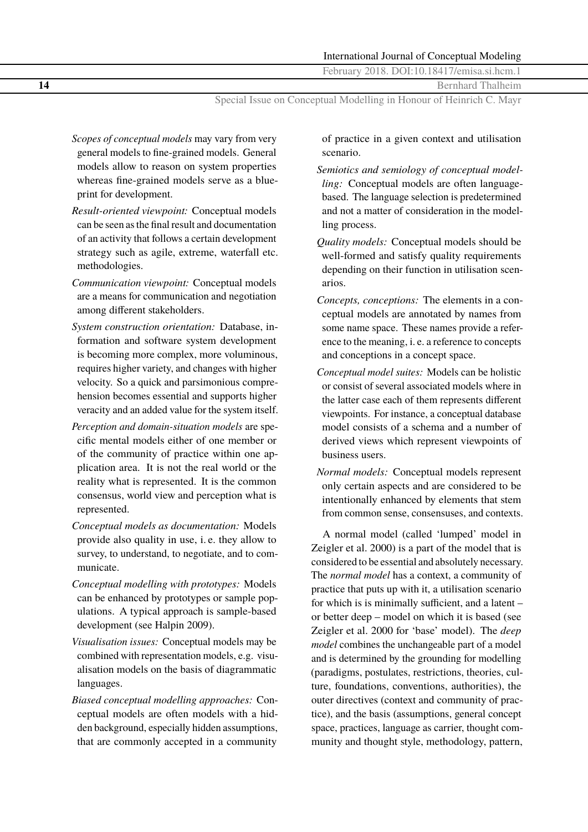**14** Bernhard Thalheim

Special Issue on Conceptual Modelling in Honour of Heinrich C. Mayr

- *Scopes of conceptual models* may vary from very general models to fine-grained models. General models allow to reason on system properties whereas fine-grained models serve as a blueprint for development.
- *Result-oriented viewpoint:* Conceptual models can be seen as the final result and documentation of an activity that follows a certain development strategy such as agile, extreme, waterfall etc. methodologies.
- *Communication viewpoint:* Conceptual models are a means for communication and negotiation among different stakeholders.
- *System construction orientation:* Database, information and software system development is becoming more complex, more voluminous, requires higher variety, and changes with higher velocity. So a quick and parsimonious comprehension becomes essential and supports higher veracity and an added value for the system itself.
- *Perception and domain-situation models* are specific mental models either of one member or of the community of practice within one application area. It is not the real world or the reality what is represented. It is the common consensus, world view and perception what is represented.
- *Conceptual models as documentation:* Models provide also quality in use, i. e. they allow to survey, to understand, to negotiate, and to communicate.
- *Conceptual modelling with prototypes:* Models can be enhanced by prototypes or sample populations. A typical approach is sample-based development (see Halpin [2009\)](#page-16-0).
- *Visualisation issues:* Conceptual models may be combined with representation models, e.g. visualisation models on the basis of diagrammatic languages.
- *Biased conceptual modelling approaches:* Conceptual models are often models with a hidden background, especially hidden assumptions, that are commonly accepted in a community

of practice in a given context and utilisation scenario.

- *Semiotics and semiology of conceptual modelling:* Conceptual models are often languagebased. The language selection is predetermined and not a matter of consideration in the modelling process.
- *Quality models:* Conceptual models should be well-formed and satisfy quality requirements depending on their function in utilisation scenarios.
- *Concepts, conceptions:* The elements in a conceptual models are annotated by names from some name space. These names provide a reference to the meaning, i. e. a reference to concepts and conceptions in a concept space.
- *Conceptual model suites:* Models can be holistic or consist of several associated models where in the latter case each of them represents different viewpoints. For instance, a conceptual database model consists of a schema and a number of derived views which represent viewpoints of business users.
- *Normal models:* Conceptual models represent only certain aspects and are considered to be intentionally enhanced by elements that stem from common sense, consensuses, and contexts.

A normal model (called 'lumped' model in Zeigler et al. [2000\)](#page-18-0) is a part of the model that is considered to be essential and absolutely necessary. The *normal model* has a context, a community of practice that puts up with it, a utilisation scenario for which is is minimally sufficient, and a latent – or better deep – model on which it is based (see Zeigler et al. [2000](#page-18-0) for 'base' model). The *deep model* combines the unchangeable part of a model and is determined by the grounding for modelling (paradigms, postulates, restrictions, theories, culture, foundations, conventions, authorities), the outer directives (context and community of practice), and the basis (assumptions, general concept space, practices, language as carrier, thought community and thought style, methodology, pattern,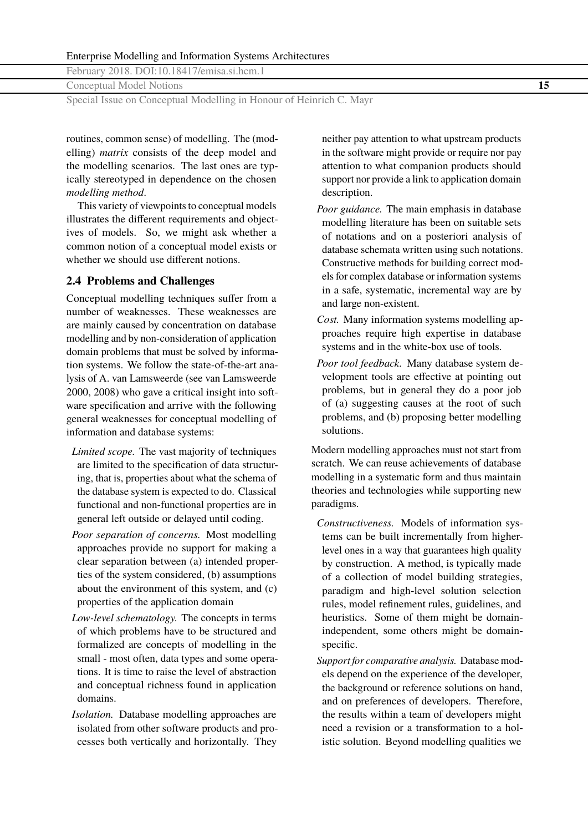Conceptual Model Notions **15**

Special Issue on Conceptual Modelling in Honour of Heinrich C. Mayr

routines, common sense) of modelling. The (modelling) *matrix* consists of the deep model and the modelling scenarios. The last ones are typically stereotyped in dependence on the chosen *modelling method*.

This variety of viewpoints to conceptual models illustrates the different requirements and objectives of models. So, we might ask whether a common notion of a conceptual model exists or whether we should use different notions.

#### **2.4 Problems and Challenges**

Conceptual modelling techniques suffer from a number of weaknesses. These weaknesses are are mainly caused by concentration on database modelling and by non-consideration of application domain problems that must be solved by information systems. We follow the state-of-the-art analysis of A. van Lamsweerde (see van Lamsweerde [2000,](#page-18-0) [2008\)](#page-18-0) who gave a critical insight into software specification and arrive with the following general weaknesses for conceptual modelling of information and database systems:

- *Limited scope.* The vast majority of techniques are limited to the specification of data structuring, that is, properties about what the schema of the database system is expected to do. Classical functional and non-functional properties are in general left outside or delayed until coding.
- *Poor separation of concerns.* Most modelling approaches provide no support for making a clear separation between (a) intended properties of the system considered, (b) assumptions about the environment of this system, and (c) properties of the application domain
- *Low-level schematology.* The concepts in terms of which problems have to be structured and formalized are concepts of modelling in the small - most often, data types and some operations. It is time to raise the level of abstraction and conceptual richness found in application domains.
- *Isolation.* Database modelling approaches are isolated from other software products and processes both vertically and horizontally. They

neither pay attention to what upstream products in the software might provide or require nor pay attention to what companion products should support nor provide a link to application domain description.

- *Poor guidance.* The main emphasis in database modelling literature has been on suitable sets of notations and on a posteriori analysis of database schemata written using such notations. Constructive methods for building correct models for complex database or information systems in a safe, systematic, incremental way are by and large non-existent.
- *Cost.* Many information systems modelling approaches require high expertise in database systems and in the white-box use of tools.
- *Poor tool feedback.* Many database system development tools are effective at pointing out problems, but in general they do a poor job of (a) suggesting causes at the root of such problems, and (b) proposing better modelling solutions.

Modern modelling approaches must not start from scratch. We can reuse achievements of database modelling in a systematic form and thus maintain theories and technologies while supporting new paradigms.

- *Constructiveness.* Models of information systems can be built incrementally from higherlevel ones in a way that guarantees high quality by construction. A method, is typically made of a collection of model building strategies, paradigm and high-level solution selection rules, model refinement rules, guidelines, and heuristics. Some of them might be domainindependent, some others might be domainspecific.
- *Support for comparative analysis.* Database models depend on the experience of the developer, the background or reference solutions on hand, and on preferences of developers. Therefore, the results within a team of developers might need a revision or a transformation to a holistic solution. Beyond modelling qualities we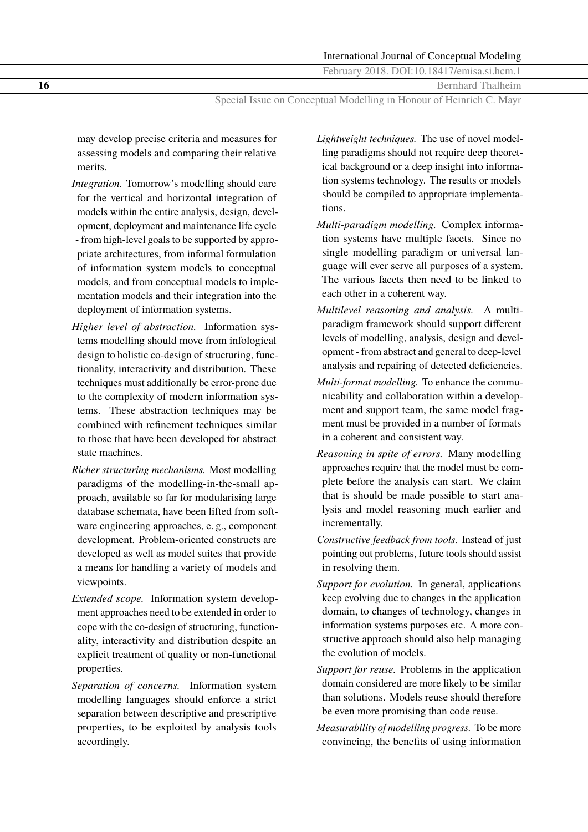**16** Bernhard Thalheim

Special Issue on Conceptual Modelling in Honour of Heinrich C. Mayr

may develop precise criteria and measures for assessing models and comparing their relative merits.

- *Integration.* Tomorrow's modelling should care for the vertical and horizontal integration of models within the entire analysis, design, development, deployment and maintenance life cycle - from high-level goals to be supported by appropriate architectures, from informal formulation of information system models to conceptual models, and from conceptual models to implementation models and their integration into the deployment of information systems.
- *Higher level of abstraction.* Information systems modelling should move from infological design to holistic co-design of structuring, functionality, interactivity and distribution. These techniques must additionally be error-prone due to the complexity of modern information systems. These abstraction techniques may be combined with refinement techniques similar to those that have been developed for abstract state machines.
- *Richer structuring mechanisms.* Most modelling paradigms of the modelling-in-the-small approach, available so far for modularising large database schemata, have been lifted from software engineering approaches, e. g., component development. Problem-oriented constructs are developed as well as model suites that provide a means for handling a variety of models and viewpoints.
- *Extended scope.* Information system development approaches need to be extended in order to cope with the co-design of structuring, functionality, interactivity and distribution despite an explicit treatment of quality or non-functional properties.
- *Separation of concerns.* Information system modelling languages should enforce a strict separation between descriptive and prescriptive properties, to be exploited by analysis tools accordingly.
- *Lightweight techniques.* The use of novel modelling paradigms should not require deep theoretical background or a deep insight into information systems technology. The results or models should be compiled to appropriate implementations.
- *Multi-paradigm modelling.* Complex information systems have multiple facets. Since no single modelling paradigm or universal language will ever serve all purposes of a system. The various facets then need to be linked to each other in a coherent way.
- *Multilevel reasoning and analysis.* A multiparadigm framework should support different levels of modelling, analysis, design and development - from abstract and general to deep-level analysis and repairing of detected deficiencies.
- *Multi-format modelling.* To enhance the communicability and collaboration within a development and support team, the same model fragment must be provided in a number of formats in a coherent and consistent way.
- *Reasoning in spite of errors.* Many modelling approaches require that the model must be complete before the analysis can start. We claim that is should be made possible to start analysis and model reasoning much earlier and incrementally.
- *Constructive feedback from tools.* Instead of just pointing out problems, future tools should assist in resolving them.
- *Support for evolution.* In general, applications keep evolving due to changes in the application domain, to changes of technology, changes in information systems purposes etc. A more constructive approach should also help managing the evolution of models.
- *Support for reuse.* Problems in the application domain considered are more likely to be similar than solutions. Models reuse should therefore be even more promising than code reuse.
- *Measurability of modelling progress.* To be more convincing, the benefits of using information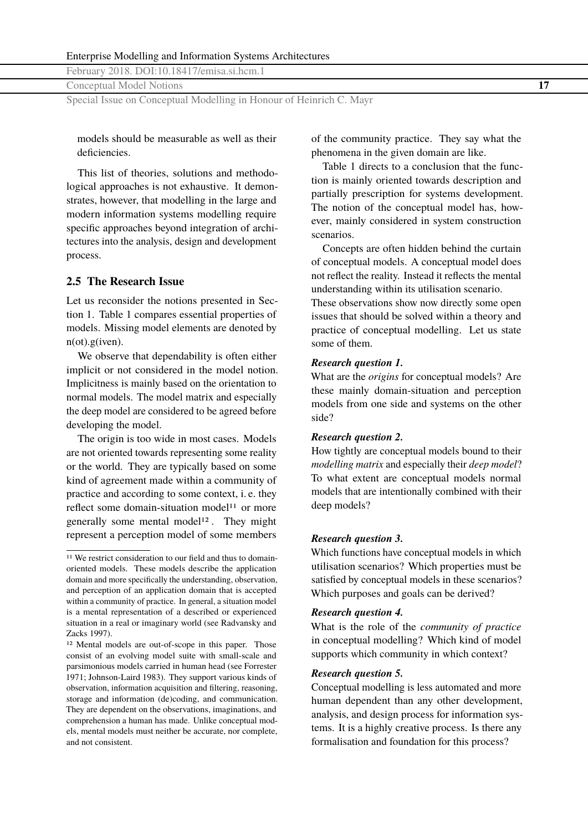Conceptual Model Notions **17**

Special Issue on Conceptual Modelling in Honour of Heinrich C. Mayr

models should be measurable as well as their deficiencies.

This list of theories, solutions and methodological approaches is not exhaustive. It demonstrates, however, that modelling in the large and modern information systems modelling require specific approaches beyond integration of architectures into the analysis, design and development process.

#### **2.5 The Research Issue**

Let us reconsider the notions presented in Section [1.](#page-0-0) Table 1 compares essential properties of models. Missing model elements are denoted by n(ot).g(iven).

We observe that dependability is often either implicit or not considered in the model notion. Implicitness is mainly based on the orientation to normal models. The model matrix and especially the deep model are considered to be agreed before developing the model.

The origin is too wide in most cases. Models are not oriented towards representing some reality or the world. They are typically based on some kind of agreement made within a community of practice and according to some context, i. e. they reflect some domain-situation model<sup>11</sup> or more generally some mental model<sup>12</sup>. They might represent a perception model of some members

of the community practice. They say what the phenomena in the given domain are like.

Table 1 directs to a conclusion that the function is mainly oriented towards description and partially prescription for systems development. The notion of the conceptual model has, however, mainly considered in system construction scenarios.

Concepts are often hidden behind the curtain of conceptual models. A conceptual model does not reflect the reality. Instead it reflects the mental understanding within its utilisation scenario.

These observations show now directly some open issues that should be solved within a theory and practice of conceptual modelling. Let us state some of them.

#### *Research question 1.*

What are the *origins* for conceptual models? Are these mainly domain-situation and perception models from one side and systems on the other side?

#### *Research question 2.*

How tightly are conceptual models bound to their *modelling matrix* and especially their *deep model*? To what extent are conceptual models normal models that are intentionally combined with their deep models?

#### *Research question 3.*

Which functions have conceptual models in which utilisation scenarios? Which properties must be satisfied by conceptual models in these scenarios? Which purposes and goals can be derived?

#### *Research question 4.*

What is the role of the *community of practice* in conceptual modelling? Which kind of model supports which community in which context?

#### *Research question 5.*

Conceptual modelling is less automated and more human dependent than any other development, analysis, and design process for information systems. It is a highly creative process. Is there any formalisation and foundation for this process?

<sup>&</sup>lt;sup>11</sup> We restrict consideration to our field and thus to domainoriented models. These models describe the application domain and more specifically the understanding, observation, and perception of an application domain that is accepted within a community of practice. In general, a situation model is a mental representation of a described or experienced situation in a real or imaginary world (see Radvansky and Zacks [1997\)](#page-17-0).

<sup>12</sup> Mental models are out-of-scope in this paper. Those consist of an evolving model suite with small-scale and parsimonious models carried in human head (see Forrester [1971;](#page-16-0) Johnson-Laird [1983\)](#page-17-0). They support various kinds of observation, information acquisition and filtering, reasoning, storage and information (de)coding, and communication. They are dependent on the observations, imaginations, and comprehension a human has made. Unlike conceptual models, mental models must neither be accurate, nor complete, and not consistent.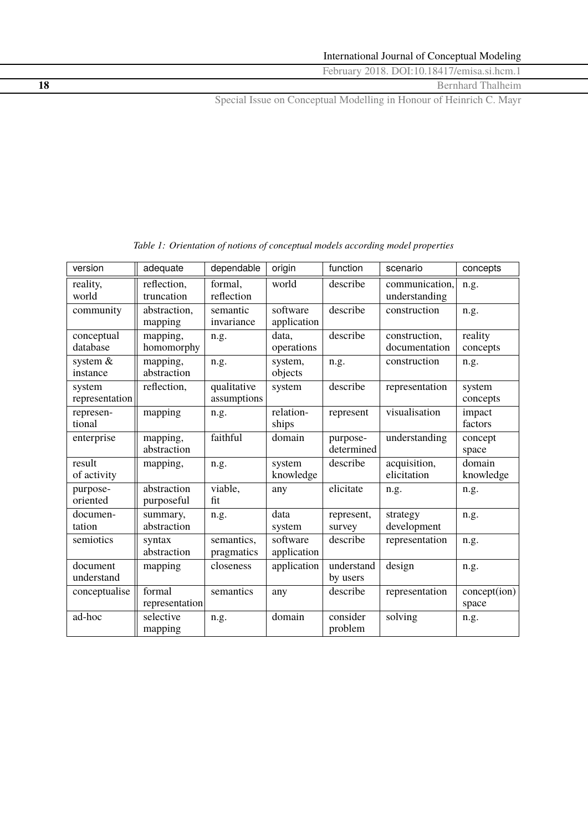**18** Bernhard Thalheim

Special Issue on Conceptual Modelling in Honour of Heinrich C. Mayr

| version                  | adequate                  | dependable                 | origin                  | function               | scenario                        | concepts              |
|--------------------------|---------------------------|----------------------------|-------------------------|------------------------|---------------------------------|-----------------------|
| reality,<br>world        | reflection,<br>truncation | formal,<br>reflection      | world                   | describe               | communication,<br>understanding | n.g.                  |
| community                | abstraction,<br>mapping   | semantic<br>invariance     | software<br>application | describe               | construction                    | n.g.                  |
| conceptual<br>database   | mapping,<br>homomorphy    | n.g.                       | data,<br>operations     | describe               | construction,<br>documentation  | reality<br>concepts   |
| system &<br>instance     | mapping,<br>abstraction   | n.g.                       | system,<br>objects      | n.g.                   | construction                    | n.g.                  |
| system<br>representation | reflection,               | qualitative<br>assumptions | system                  | describe               | representation                  | system<br>concepts    |
| represen-<br>tional      | mapping                   | n.g.                       | relation-<br>ships      | represent              | visualisation                   | impact<br>factors     |
| enterprise               | mapping,<br>abstraction   | faithful                   | domain                  | purpose-<br>determined | understanding                   | concept<br>space      |
| result<br>of activity    | mapping,                  | n.g.                       | system<br>knowledge     | describe               | acquisition,<br>elicitation     | domain<br>knowledge   |
| purpose-<br>oriented     | abstraction<br>purposeful | viable,<br>fit             | any                     | elicitate              | n.g.                            | n.g.                  |
| documen-<br>tation       | summary,<br>abstraction   | n.g.                       | data<br>system          | represent,<br>survey   | strategy<br>development         | n.g.                  |
| semiotics                | syntax<br>abstraction     | semantics,<br>pragmatics   | software<br>application | describe               | representation                  | n.g.                  |
| document<br>understand   | mapping                   | closeness                  | application             | understand<br>by users | design                          | n.g.                  |
| conceptualise            | formal<br>representation  | semantics                  | any                     | describe               | representation                  | concept(ion)<br>space |
| ad-hoc                   | selective<br>mapping      | n.g.                       | domain                  | consider<br>problem    | solving                         | n.g.                  |

*Table 1: Orientation of notions of conceptual models according model properties*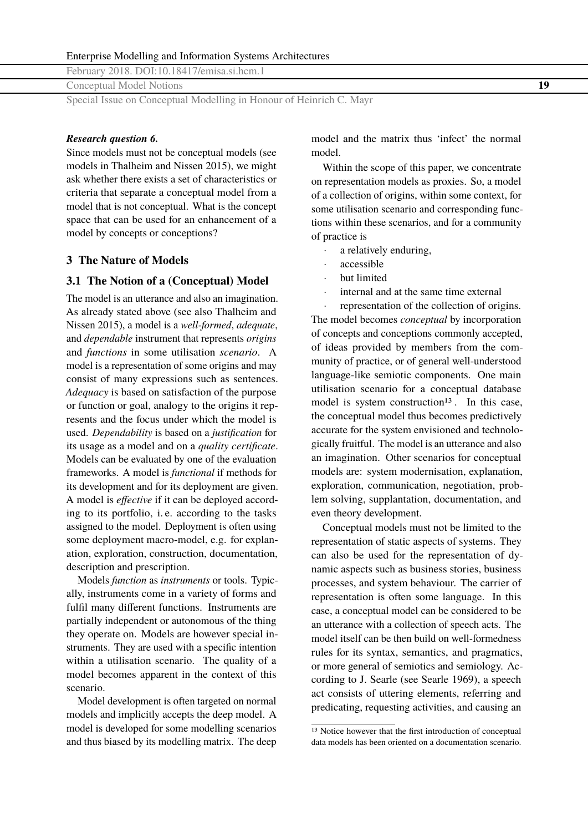Conceptual Model Notions **19**

Special Issue on Conceptual Modelling in Honour of Heinrich C. Mayr

#### *Research question 6.*

Since models must not be conceptual models (see models in Thalheim and Nissen [2015\)](#page-18-0), we might ask whether there exists a set of characteristics or criteria that separate a conceptual model from a model that is not conceptual. What is the concept space that can be used for an enhancement of a model by concepts or conceptions?

#### **3 The Nature of Models**

#### **3.1 The Notion of a (Conceptual) Model**

The model is an utterance and also an imagination. As already stated above (see also Thalheim and Nissen [2015\)](#page-18-0), a model is a *well-formed*, *adequate*, and *dependable* instrument that represents *origins* and *functions* in some utilisation *scenario*. A model is a representation of some origins and may consist of many expressions such as sentences. *Adequacy* is based on satisfaction of the purpose or function or goal, analogy to the origins it represents and the focus under which the model is used. *Dependability* is based on a *justification* for its usage as a model and on a *quality certificate*. Models can be evaluated by one of the evaluation frameworks. A model is *functional* if methods for its development and for its deployment are given. A model is *effective* if it can be deployed according to its portfolio, i. e. according to the tasks assigned to the model. Deployment is often using some deployment macro-model, e.g. for explanation, exploration, construction, documentation, description and prescription.

Models *function* as *instruments* or tools. Typically, instruments come in a variety of forms and fulfil many different functions. Instruments are partially independent or autonomous of the thing they operate on. Models are however special instruments. They are used with a specific intention within a utilisation scenario. The quality of a model becomes apparent in the context of this scenario.

Model development is often targeted on normal models and implicitly accepts the deep model. A model is developed for some modelling scenarios and thus biased by its modelling matrix. The deep model and the matrix thus 'infect' the normal model.

Within the scope of this paper, we concentrate on representation models as proxies. So, a model of a collection of origins, within some context, for some utilisation scenario and corresponding functions within these scenarios, and for a community of practice is

- a relatively enduring,
- accessible
- · but limited
- internal and at the same time external
- representation of the collection of origins.

The model becomes *conceptual* by incorporation of concepts and conceptions commonly accepted, of ideas provided by members from the community of practice, or of general well-understood language-like semiotic components. One main utilisation scenario for a conceptual database model is system construction<sup>13</sup>. In this case, the conceptual model thus becomes predictively accurate for the system envisioned and technologically fruitful. The model is an utterance and also an imagination. Other scenarios for conceptual models are: system modernisation, explanation, exploration, communication, negotiation, problem solving, supplantation, documentation, and even theory development.

Conceptual models must not be limited to the representation of static aspects of systems. They can also be used for the representation of dynamic aspects such as business stories, business processes, and system behaviour. The carrier of representation is often some language. In this case, a conceptual model can be considered to be an utterance with a collection of speech acts. The model itself can be then build on well-formedness rules for its syntax, semantics, and pragmatics, or more general of semiotics and semiology. According to J. Searle (see Searle [1969\)](#page-17-0), a speech act consists of uttering elements, referring and predicating, requesting activities, and causing an

<sup>&</sup>lt;sup>13</sup> Notice however that the first introduction of conceptual data models has been oriented on a documentation scenario.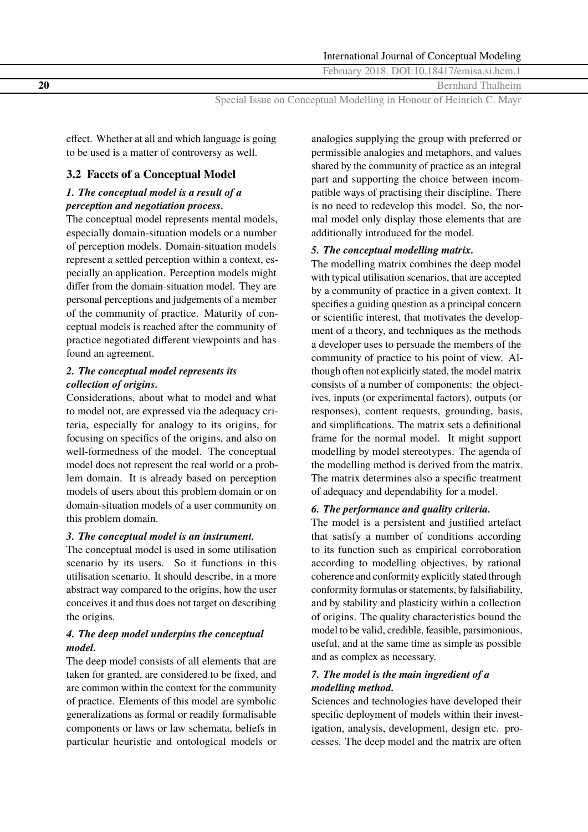**20** Bernhard Thalheim

Special Issue on Conceptual Modelling in Honour of Heinrich C. Mayr

effect. Whether at all and which language is going to be used is a matter of controversy as well.

## **3.2 Facets of a Conceptual Model**

## *1. The conceptual model is a result of a perception and negotiation process.*

The conceptual model represents mental models, especially domain-situation models or a number of perception models. Domain-situation models represent a settled perception within a context, especially an application. Perception models might differ from the domain-situation model. They are personal perceptions and judgements of a member of the community of practice. Maturity of conceptual models is reached after the community of practice negotiated different viewpoints and has found an agreement.

### *2. The conceptual model represents its collection of origins.*

Considerations, about what to model and what to model not, are expressed via the adequacy criteria, especially for analogy to its origins, for focusing on specifics of the origins, and also on well-formedness of the model. The conceptual model does not represent the real world or a problem domain. It is already based on perception models of users about this problem domain or on domain-situation models of a user community on this problem domain.

## *3. The conceptual model is an instrument.*

The conceptual model is used in some utilisation scenario by its users. So it functions in this utilisation scenario. It should describe, in a more abstract way compared to the origins, how the user conceives it and thus does not target on describing the origins.

## *4. The deep model underpins the conceptual model.*

The deep model consists of all elements that are taken for granted, are considered to be fixed, and are common within the context for the community of practice. Elements of this model are symbolic generalizations as formal or readily formalisable components or laws or law schemata, beliefs in particular heuristic and ontological models or

analogies supplying the group with preferred or permissible analogies and metaphors, and values shared by the community of practice as an integral part and supporting the choice between incompatible ways of practising their discipline. There is no need to redevelop this model. So, the normal model only display those elements that are additionally introduced for the model.

### *5. The conceptual modelling matrix.*

The modelling matrix combines the deep model with typical utilisation scenarios, that are accepted by a community of practice in a given context. It specifies a guiding question as a principal concern or scientific interest, that motivates the development of a theory, and techniques as the methods a developer uses to persuade the members of the community of practice to his point of view. Although often not explicitly stated, the model matrix consists of a number of components: the objectives, inputs (or experimental factors), outputs (or responses), content requests, grounding, basis, and simplifications. The matrix sets a definitional frame for the normal model. It might support modelling by model stereotypes. The agenda of the modelling method is derived from the matrix. The matrix determines also a specific treatment of adequacy and dependability for a model.

#### *6. The performance and quality criteria.*

The model is a persistent and justified artefact that satisfy a number of conditions according to its function such as empirical corroboration according to modelling objectives, by rational coherence and conformity explicitly stated through conformity formulas or statements, by falsifiability, and by stability and plasticity within a collection of origins. The quality characteristics bound the model to be valid, credible, feasible, parsimonious, useful, and at the same time as simple as possible and as complex as necessary.

### *7. The model is the main ingredient of a modelling method.*

Sciences and technologies have developed their specific deployment of models within their investigation, analysis, development, design etc. processes. The deep model and the matrix are often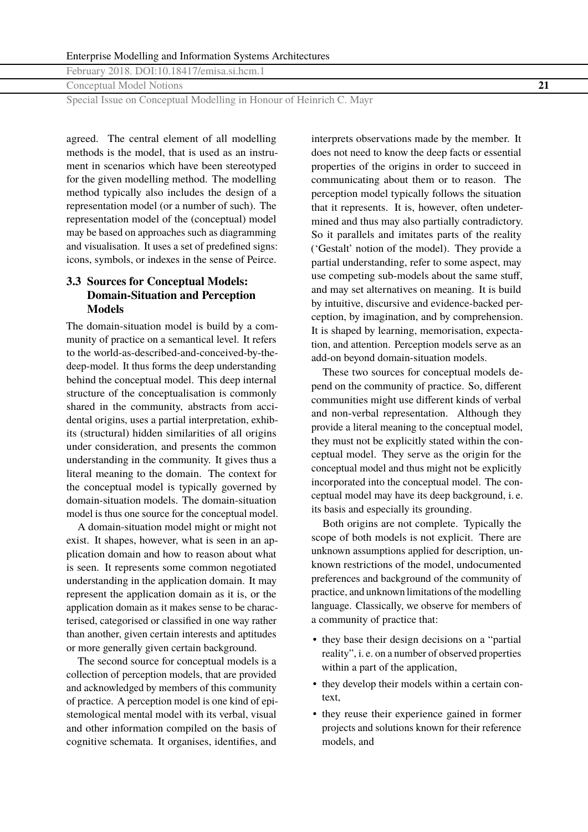<span id="page-12-0"></span>Conceptual Model Notions **21**

Special Issue on Conceptual Modelling in Honour of Heinrich C. Mayr

agreed. The central element of all modelling methods is the model, that is used as an instrument in scenarios which have been stereotyped for the given modelling method. The modelling method typically also includes the design of a representation model (or a number of such). The representation model of the (conceptual) model may be based on approaches such as diagramming and visualisation. It uses a set of predefined signs: icons, symbols, or indexes in the sense of Peirce.

## **3.3 Sources for Conceptual Models: Domain-Situation and Perception Models**

The domain-situation model is build by a community of practice on a semantical level. It refers to the world-as-described-and-conceived-by-thedeep-model. It thus forms the deep understanding behind the conceptual model. This deep internal structure of the conceptualisation is commonly shared in the community, abstracts from accidental origins, uses a partial interpretation, exhibits (structural) hidden similarities of all origins under consideration, and presents the common understanding in the community. It gives thus a literal meaning to the domain. The context for the conceptual model is typically governed by domain-situation models. The domain-situation model is thus one source for the conceptual model.

A domain-situation model might or might not exist. It shapes, however, what is seen in an application domain and how to reason about what is seen. It represents some common negotiated understanding in the application domain. It may represent the application domain as it is, or the application domain as it makes sense to be characterised, categorised or classified in one way rather than another, given certain interests and aptitudes or more generally given certain background.

The second source for conceptual models is a collection of perception models, that are provided and acknowledged by members of this community of practice. A perception model is one kind of epistemological mental model with its verbal, visual and other information compiled on the basis of cognitive schemata. It organises, identifies, and

interprets observations made by the member. It does not need to know the deep facts or essential properties of the origins in order to succeed in communicating about them or to reason. The perception model typically follows the situation that it represents. It is, however, often undetermined and thus may also partially contradictory. So it parallels and imitates parts of the reality ('Gestalt' notion of the model). They provide a partial understanding, refer to some aspect, may use competing sub-models about the same stuff, and may set alternatives on meaning. It is build by intuitive, discursive and evidence-backed perception, by imagination, and by comprehension. It is shaped by learning, memorisation, expectation, and attention. Perception models serve as an add-on beyond domain-situation models.

These two sources for conceptual models depend on the community of practice. So, different communities might use different kinds of verbal and non-verbal representation. Although they provide a literal meaning to the conceptual model, they must not be explicitly stated within the conceptual model. They serve as the origin for the conceptual model and thus might not be explicitly incorporated into the conceptual model. The conceptual model may have its deep background, i. e. its basis and especially its grounding.

Both origins are not complete. Typically the scope of both models is not explicit. There are unknown assumptions applied for description, unknown restrictions of the model, undocumented preferences and background of the community of practice, and unknown limitations of the modelling language. Classically, we observe for members of a community of practice that:

- they base their design decisions on a "partial reality", i. e. on a number of observed properties within a part of the application,
- they develop their models within a certain context,
- they reuse their experience gained in former projects and solutions known for their reference models, and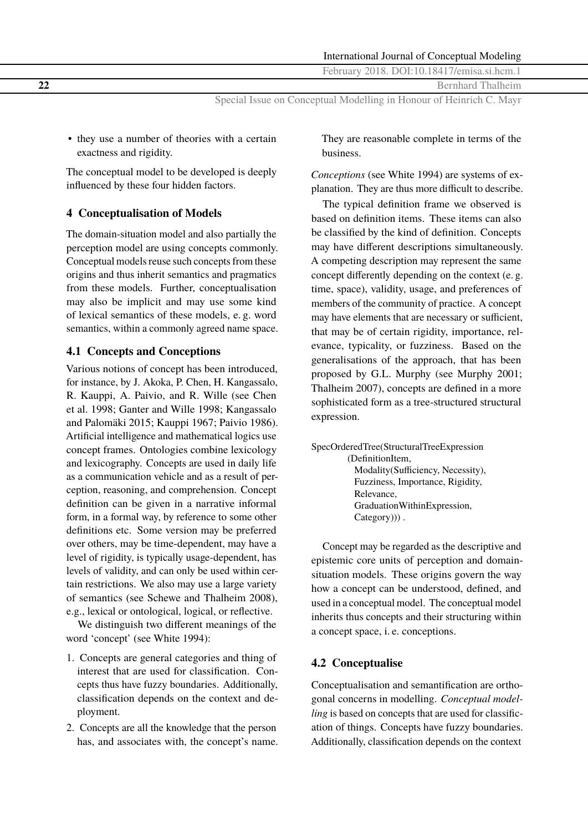**22** Bernhard Thalheim

Special Issue on Conceptual Modelling in Honour of Heinrich C. Mayr

• they use a number of theories with a certain exactness and rigidity.

The conceptual model to be developed is deeply influenced by these four hidden factors.

## **4 Conceptualisation of Models**

The domain-situation model and also partially the perception model are using concepts commonly. Conceptual models reuse such concepts from these origins and thus inherit semantics and pragmatics from these models. Further, conceptualisation may also be implicit and may use some kind of lexical semantics of these models, e. g. word semantics, within a commonly agreed name space.

## **4.1 Concepts and Conceptions**

Various notions of concept has been introduced, for instance, by J. Akoka, P. Chen, H. Kangassalo, R. Kauppi, A. Paivio, and R. Wille (see Chen et al. [1998;](#page-16-0) Ganter and Wille [1998;](#page-16-0) Kangassalo and Palomäki [2015;](#page-17-0) Kauppi [1967;](#page-17-0) Paivio [1986\)](#page-17-0). Artificial intelligence and mathematical logics use concept frames. Ontologies combine lexicology and lexicography. Concepts are used in daily life as a communication vehicle and as a result of perception, reasoning, and comprehension. Concept definition can be given in a narrative informal form, in a formal way, by reference to some other definitions etc. Some version may be preferred over others, may be time-dependent, may have a level of rigidity, is typically usage-dependent, has levels of validity, and can only be used within certain restrictions. We also may use a large variety of semantics (see Schewe and Thalheim [2008\)](#page-17-0), e.g., lexical or ontological, logical, or reflective.

We distinguish two different meanings of the word 'concept' (see White [1994\)](#page-18-0):

- 1. Concepts are general categories and thing of interest that are used for classification. Concepts thus have fuzzy boundaries. Additionally, classification depends on the context and deployment.
- 2. Concepts are all the knowledge that the person has, and associates with, the concept's name.

They are reasonable complete in terms of the business.

*Conceptions* (see White [1994\)](#page-18-0) are systems of explanation. They are thus more difficult to describe.

The typical definition frame we observed is based on definition items. These items can also be classified by the kind of definition. Concepts may have different descriptions simultaneously. A competing description may represent the same concept differently depending on the context (e. g. time, space), validity, usage, and preferences of members of the community of practice. A concept may have elements that are necessary or sufficient, that may be of certain rigidity, importance, relevance, typicality, or fuzziness. Based on the generalisations of the approach, that has been proposed by G.L. Murphy (see Murphy [2001;](#page-17-0) Thalheim [2007\)](#page-17-0), concepts are defined in a more sophisticated form as a tree-structured structural expression.

```
SpecOrderedTree(StructuralTreeExpression
(DefinitionItem,
  Modality(Sufficiency, Necessity),
  Fuzziness, Importance, Rigidity,
  Relevance,
  GraduationWithinExpression,
  Category)).
```
Concept may be regarded as the descriptive and epistemic core units of perception and domainsituation models. These origins govern the way how a concept can be understood, defined, and used in a conceptual model. The conceptual model inherits thus concepts and their structuring within a concept space, i. e. conceptions.

## **4.2 Conceptualise**

Conceptualisation and semantification are orthogonal concerns in modelling. *Conceptual modelling* is based on concepts that are used for classification of things. Concepts have fuzzy boundaries. Additionally, classification depends on the context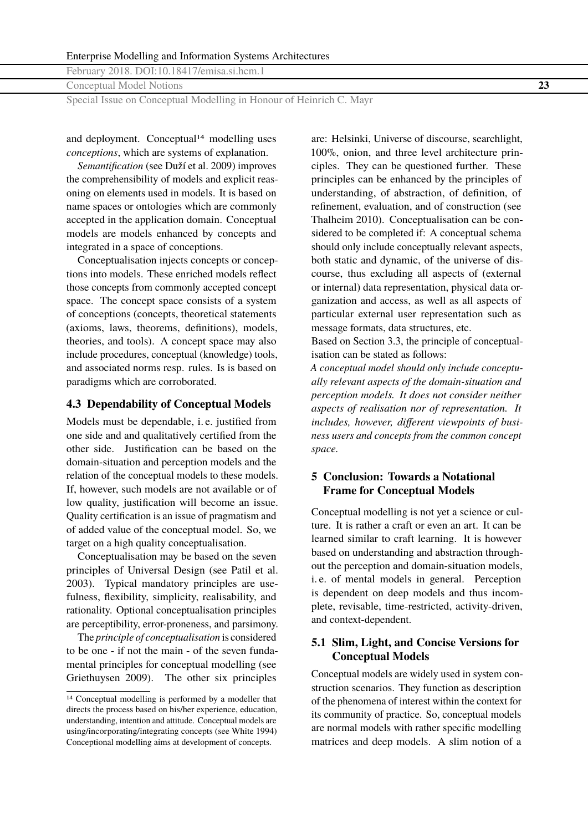Conceptual Model Notions **23**

Special Issue on Conceptual Modelling in Honour of Heinrich C. Mayr

and deployment. Conceptual<sup>14</sup> modelling uses *conceptions*, which are systems of explanation.

*Semantification* (see Duží et al. [2009\)](#page-16-0) improves the comprehensibility of models and explicit reasoning on elements used in models. It is based on name spaces or ontologies which are commonly accepted in the application domain. Conceptual models are models enhanced by concepts and integrated in a space of conceptions.

Conceptualisation injects concepts or conceptions into models. These enriched models reflect those concepts from commonly accepted concept space. The concept space consists of a system of conceptions (concepts, theoretical statements (axioms, laws, theorems, definitions), models, theories, and tools). A concept space may also include procedures, conceptual (knowledge) tools, and associated norms resp. rules. Is is based on paradigms which are corroborated.

### **4.3 Dependability of Conceptual Models**

Models must be dependable, i. e. justified from one side and and qualitatively certified from the other side. Justification can be based on the domain-situation and perception models and the relation of the conceptual models to these models. If, however, such models are not available or of low quality, justification will become an issue. Quality certification is an issue of pragmatism and of added value of the conceptual model. So, we target on a high quality conceptualisation.

Conceptualisation may be based on the seven principles of Universal Design (see Patil et al. [2003\)](#page-17-0). Typical mandatory principles are usefulness, flexibility, simplicity, realisability, and rationality. Optional conceptualisation principles are perceptibility, error-proneness, and parsimony.

The *principle of conceptualisation* is considered to be one - if not the main - of the seven fundamental principles for conceptual modelling (see Griethuysen [2009\)](#page-16-0). The other six principles

are: Helsinki, Universe of discourse, searchlight, 100%, onion, and three level architecture principles. They can be questioned further. These principles can be enhanced by the principles of understanding, of abstraction, of definition, of refinement, evaluation, and of construction (see Thalheim [2010\)](#page-17-0). Conceptualisation can be considered to be completed if: A conceptual schema should only include conceptually relevant aspects, both static and dynamic, of the universe of discourse, thus excluding all aspects of (external or internal) data representation, physical data organization and access, as well as all aspects of particular external user representation such as message formats, data structures, etc.

Based on Section [3.3,](#page-12-0) the principle of conceptualisation can be stated as follows:

*A conceptual model should only include conceptually relevant aspects of the domain-situation and perception models. It does not consider neither aspects of realisation nor of representation. It includes, however, different viewpoints of business users and concepts from the common concept space.*

### **5 Conclusion: Towards a Notational Frame for Conceptual Models**

Conceptual modelling is not yet a science or culture. It is rather a craft or even an art. It can be learned similar to craft learning. It is however based on understanding and abstraction throughout the perception and domain-situation models, i. e. of mental models in general. Perception is dependent on deep models and thus incomplete, revisable, time-restricted, activity-driven, and context-dependent.

#### **5.1 Slim, Light, and Concise Versions for Conceptual Models**

Conceptual models are widely used in system construction scenarios. They function as description of the phenomena of interest within the context for its community of practice. So, conceptual models are normal models with rather specific modelling matrices and deep models. A slim notion of a

<sup>14</sup> Conceptual modelling is performed by a modeller that directs the process based on his/her experience, education, understanding, intention and attitude. Conceptual models are using/incorporating/integrating concepts (see White [1994\)](#page-18-0) Conceptional modelling aims at development of concepts.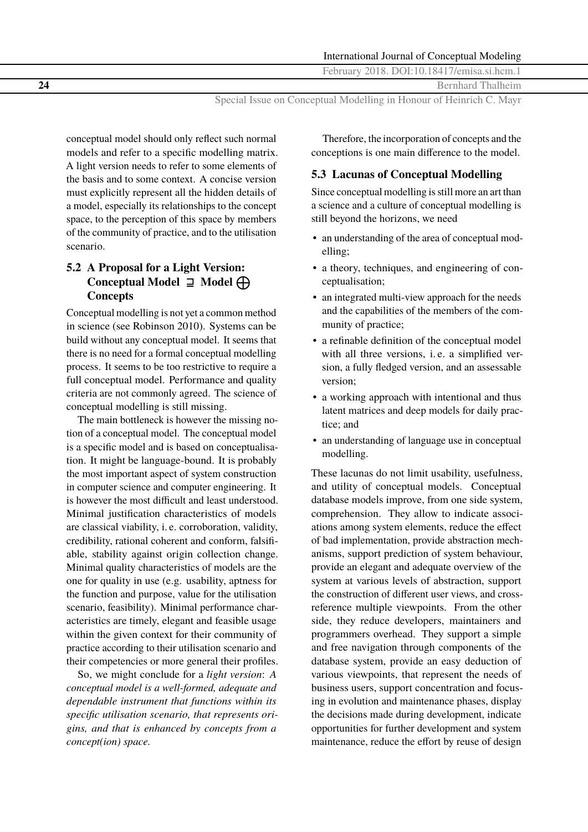**24** Bernhard Thalheim

Special Issue on Conceptual Modelling in Honour of Heinrich C. Mayr

conceptual model should only reflect such normal models and refer to a specific modelling matrix. A light version needs to refer to some elements of the basis and to some context. A concise version must explicitly represent all the hidden details of a model, especially its relationships to the concept space, to the perception of this space by members of the community of practice, and to the utilisation scenario.

## **5.2 A Proposal for a Light Version: Conceptual Model** ⊒ **Model** É **Concepts**

Conceptual modelling is not yet a common method in science (see Robinson [2010\)](#page-17-0). Systems can be build without any conceptual model. It seems that there is no need for a formal conceptual modelling process. It seems to be too restrictive to require a full conceptual model. Performance and quality criteria are not commonly agreed. The science of conceptual modelling is still missing.

The main bottleneck is however the missing notion of a conceptual model. The conceptual model is a specific model and is based on conceptualisation. It might be language-bound. It is probably the most important aspect of system construction in computer science and computer engineering. It is however the most difficult and least understood. Minimal justification characteristics of models are classical viability, i. e. corroboration, validity, credibility, rational coherent and conform, falsifiable, stability against origin collection change. Minimal quality characteristics of models are the one for quality in use (e.g. usability, aptness for the function and purpose, value for the utilisation scenario, feasibility). Minimal performance characteristics are timely, elegant and feasible usage within the given context for their community of practice according to their utilisation scenario and their competencies or more general their profiles.

So, we might conclude for a *light version*: *A conceptual model is a well-formed, adequate and dependable instrument that functions within its specific utilisation scenario, that represents origins, and that is enhanced by concepts from a concept(ion) space.*

Therefore, the incorporation of concepts and the conceptions is one main difference to the model.

#### **5.3 Lacunas of Conceptual Modelling**

Since conceptual modelling is still more an art than a science and a culture of conceptual modelling is still beyond the horizons, we need

- an understanding of the area of conceptual modelling;
- a theory, techniques, and engineering of conceptualisation;
- an integrated multi-view approach for the needs and the capabilities of the members of the community of practice;
- a refinable definition of the conceptual model with all three versions, i. e. a simplified version, a fully fledged version, and an assessable version;
- a working approach with intentional and thus latent matrices and deep models for daily practice; and
- an understanding of language use in conceptual modelling.

These lacunas do not limit usability, usefulness, and utility of conceptual models. Conceptual database models improve, from one side system, comprehension. They allow to indicate associations among system elements, reduce the effect of bad implementation, provide abstraction mechanisms, support prediction of system behaviour, provide an elegant and adequate overview of the system at various levels of abstraction, support the construction of different user views, and crossreference multiple viewpoints. From the other side, they reduce developers, maintainers and programmers overhead. They support a simple and free navigation through components of the database system, provide an easy deduction of various viewpoints, that represent the needs of business users, support concentration and focusing in evolution and maintenance phases, display the decisions made during development, indicate opportunities for further development and system maintenance, reduce the effort by reuse of design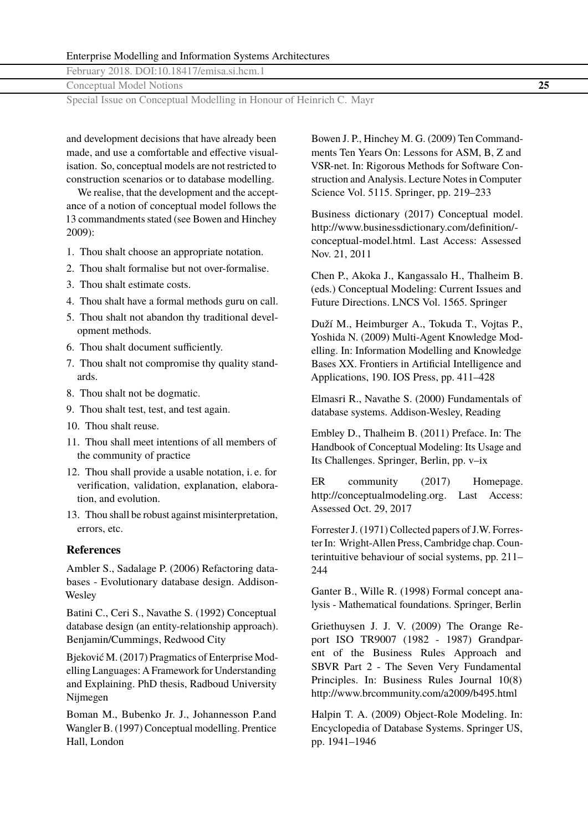<span id="page-16-0"></span>Conceptual Model Notions **25**

Special Issue on Conceptual Modelling in Honour of Heinrich C. Mayr

and development decisions that have already been made, and use a comfortable and effective visualisation. So, conceptual models are not restricted to construction scenarios or to database modelling.

We realise, that the development and the acceptance of a notion of conceptual model follows the 13 commandments stated (see Bowen and Hinchey 2009):

- 1. Thou shalt choose an appropriate notation.
- 2. Thou shalt formalise but not over-formalise.
- 3. Thou shalt estimate costs.
- 4. Thou shalt have a formal methods guru on call.
- 5. Thou shalt not abandon thy traditional development methods.
- 6. Thou shalt document sufficiently.
- 7. Thou shalt not compromise thy quality standards.
- 8. Thou shalt not be dogmatic.
- 9. Thou shalt test, test, and test again.
- 10. Thou shalt reuse.
- 11. Thou shall meet intentions of all members of the community of practice
- 12. Thou shall provide a usable notation, i. e. for verification, validation, explanation, elaboration, and evolution.
- 13. Thou shall be robust against misinterpretation, errors, etc.

#### **References**

Ambler S., Sadalage P. (2006) Refactoring databases - Evolutionary database design. Addison-**Wesley** 

Batini C., Ceri S., Navathe S. (1992) Conceptual database design (an entity-relationship approach). Benjamin/Cummings, Redwood City

Bjeković M. (2017) Pragmatics of Enterprise Modelling Languages: A Framework for Understanding and Explaining. PhD thesis, Radboud University Nijmegen

Boman M., Bubenko Jr. J., Johannesson P.and Wangler B. (1997) Conceptual modelling. Prentice Hall, London

Bowen J. P., Hinchey M. G. (2009) Ten Commandments Ten Years On: Lessons for ASM, B, Z and VSR-net. In: Rigorous Methods for Software Construction and Analysis. Lecture Notes in Computer Science Vol. 5115. Springer, pp. 219–233

Business dictionary (2017) Conceptual model. http://www.businessdictionary.com/definition/ conceptual-model.html. Last Access: Assessed Nov. 21, 2011

Chen P., Akoka J., Kangassalo H., Thalheim B. (eds.) Conceptual Modeling: Current Issues and Future Directions. LNCS Vol. 1565. Springer

Duží M., Heimburger A., Tokuda T., Vojtas P., Yoshida N. (2009) Multi-Agent Knowledge Modelling. In: Information Modelling and Knowledge Bases XX. Frontiers in Artificial Intelligence and Applications, 190. IOS Press, pp. 411–428

Elmasri R., Navathe S. (2000) Fundamentals of database systems. Addison-Wesley, Reading

Embley D., Thalheim B. (2011) Preface. In: The Handbook of Conceptual Modeling: Its Usage and Its Challenges. Springer, Berlin, pp. v–ix

ER community (2017) Homepage. http://conceptualmodeling.org. Last Access: Assessed Oct. 29, 2017

Forrester J. (1971) Collected papers of J.W. Forrester In: Wright-Allen Press, Cambridge chap. Counterintuitive behaviour of social systems, pp. 211– 244

Ganter B., Wille R. (1998) Formal concept analysis - Mathematical foundations. Springer, Berlin

Griethuysen J. J. V. (2009) The Orange Report ISO TR9007 (1982 - 1987) Grandparent of the Business Rules Approach and SBVR Part 2 - The Seven Very Fundamental Principles. In: Business Rules Journal 10(8) http://www.brcommunity.com/a2009/b495.html

Halpin T. A. (2009) Object-Role Modeling. In: Encyclopedia of Database Systems. Springer US, pp. 1941–1946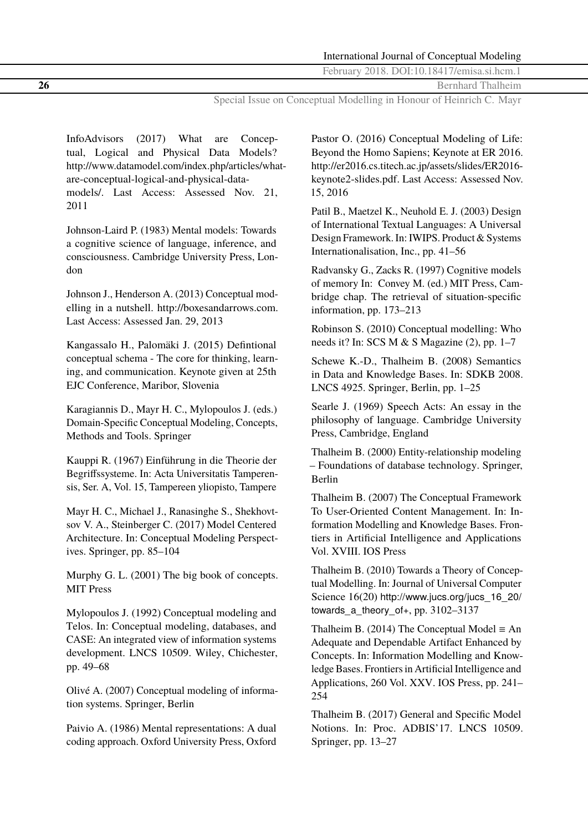<span id="page-17-0"></span>**26** Bernhard Thalheim

Special Issue on Conceptual Modelling in Honour of Heinrich C. Mayr

InfoAdvisors (2017) What are Conceptual, Logical and Physical Data Models? http://www.datamodel.com/index.php/articles/whatare-conceptual-logical-and-physical-datamodels/. Last Access: Assessed Nov. 21, 2011

Johnson-Laird P. (1983) Mental models: Towards a cognitive science of language, inference, and consciousness. Cambridge University Press, London

Johnson J., Henderson A. (2013) Conceptual modelling in a nutshell. http://boxesandarrows.com. Last Access: Assessed Jan. 29, 2013

Kangassalo H., Palomäki J. (2015) Defintional conceptual schema - The core for thinking, learning, and communication. Keynote given at 25th EJC Conference, Maribor, Slovenia

Karagiannis D., Mayr H. C., Mylopoulos J. (eds.) Domain-Specific Conceptual Modeling, Concepts, Methods and Tools. Springer

Kauppi R. (1967) Einführung in die Theorie der Begriffssysteme. In: Acta Universitatis Tamperensis, Ser. A, Vol. 15, Tampereen yliopisto, Tampere

Mayr H. C., Michael J., Ranasinghe S., Shekhovtsov V. A., Steinberger C. (2017) Model Centered Architecture. In: Conceptual Modeling Perspectives. Springer, pp. 85–104

Murphy G. L. (2001) The big book of concepts. MIT Press

Mylopoulos J. (1992) Conceptual modeling and Telos. In: Conceptual modeling, databases, and CASE: An integrated view of information systems development. LNCS 10509. Wiley, Chichester, pp. 49–68

Olivé A. (2007) Conceptual modeling of information systems. Springer, Berlin

Paivio A. (1986) Mental representations: A dual coding approach. Oxford University Press, Oxford

Pastor O. (2016) Conceptual Modeling of Life: Beyond the Homo Sapiens; Keynote at ER 2016. http://er2016.cs.titech.ac.jp/assets/slides/ER2016 keynote2-slides.pdf. Last Access: Assessed Nov. 15, 2016

Patil B., Maetzel K., Neuhold E. J. (2003) Design of International Textual Languages: A Universal Design Framework. In: IWIPS. Product & Systems Internationalisation, Inc., pp. 41–56

Radvansky G., Zacks R. (1997) Cognitive models of memory In: Convey M. (ed.) MIT Press, Cambridge chap. The retrieval of situation-specific information, pp. 173–213

Robinson S. (2010) Conceptual modelling: Who needs it? In: SCS M & S Magazine (2), pp. 1–7

Schewe K.-D., Thalheim B. (2008) Semantics in Data and Knowledge Bases. In: SDKB 2008. LNCS 4925. Springer, Berlin, pp. 1–25

Searle J. (1969) Speech Acts: An essay in the philosophy of language. Cambridge University Press, Cambridge, England

Thalheim B. (2000) Entity-relationship modeling – Foundations of database technology. Springer, Berlin

Thalheim B. (2007) The Conceptual Framework To User-Oriented Content Management. In: Information Modelling and Knowledge Bases. Frontiers in Artificial Intelligence and Applications Vol. XVIII. IOS Press

Thalheim B. (2010) Towards a Theory of Conceptual Modelling. In: Journal of Universal Computer Science 16(20) [http://www.jucs.org/jucs\\_16\\_20/](http://www.jucs.org/jucs_16_20/towards_a_theory_of+) [towards\\_a\\_theory\\_of+](http://www.jucs.org/jucs_16_20/towards_a_theory_of+), pp. 3102–3137

Thalheim B. (2014) The Conceptual Model  $\equiv$  An Adequate and Dependable Artifact Enhanced by Concepts. In: Information Modelling and Knowledge Bases. Frontiers in Artificial Intelligence and Applications, 260 Vol. XXV. IOS Press, pp. 241– 254

Thalheim B. (2017) General and Specific Model Notions. In: Proc. ADBIS'17. LNCS 10509. Springer, pp. 13–27